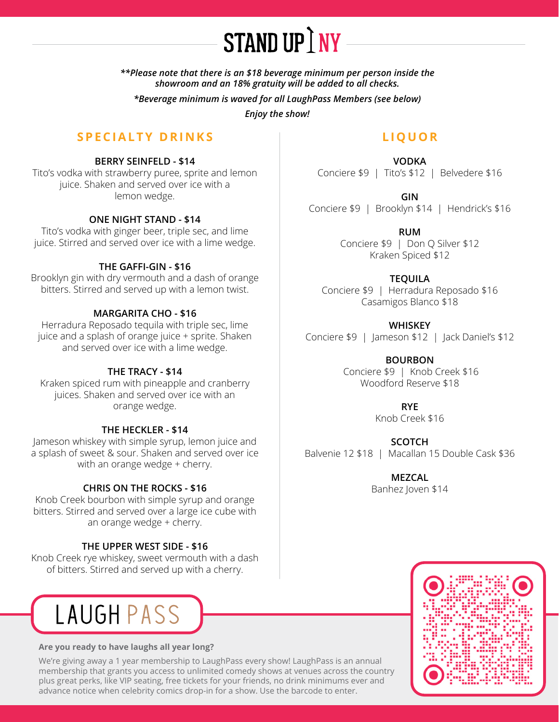

*\*\*Please note that there is an \$18 beverage minimum per person inside the showroom and an 18% gratuity will be added to all checks.*

*\*Beverage minimum is waved for all LaughPass Members (see below)*

*Enjoy the show!*

# **SPECIALTY DRINKS**

#### **BERRY SEINFELD - \$14**

Tito's vodka with strawberry puree, sprite and lemon juice. Shaken and served over ice with a lemon wedge.

## **ONE NIGHT STAND - \$14**

Tito's vodka with ginger beer, triple sec, and lime juice. Stirred and served over ice with a lime wedge.

#### **THE GAFFI-GIN - \$16**

Brooklyn gin with dry vermouth and a dash of orange bitters. Stirred and served up with a lemon twist.

## **MARGARITA CHO - \$16**

Herradura Reposado tequila with triple sec, lime juice and a splash of orange juice + sprite. Shaken and served over ice with a lime wedge.

#### **THE TRACY - \$14**

Kraken spiced rum with pineapple and cranberry juices. Shaken and served over ice with an orange wedge.

#### **THE HECKLER - \$14**

Jameson whiskey with simple syrup, lemon juice and a splash of sweet & sour. Shaken and served over ice with an orange wedge + cherry.

## **CHRIS ON THE ROCKS - \$16**

Knob Creek bourbon with simple syrup and orange bitters. Stirred and served over a large ice cube with an orange wedge + cherry.

## **THE UPPER WEST SIDE - \$16**

Knob Creek rye whiskey, sweet vermouth with a dash of bitters. Stirred and served up with a cherry.



#### **Are you ready to have laughs all year long?**

We're giving away a 1 year membership to LaughPass every show! LaughPass is an annual membership that grants you access to unlimited comedy shows at venues across the country plus great perks, like VIP seating, free tickets for your friends, no drink minimums ever and advance notice when celebrity comics drop-in for a show. Use the barcode to enter.

# **LIQUOR**

**VODKA** Conciere \$9 | Tito's \$12 | Belvedere \$16

**GIN** Conciere \$9 | Brooklyn \$14 | Hendrick's \$16

> **RUM** Conciere \$9 | Don Q Silver \$12 Kraken Spiced \$12

**TEQUILA** Conciere \$9 | Herradura Reposado \$16 Casamigos Blanco \$18

**WHISKEY** Conciere \$9 |Jameson \$12 | Jack Daniel's \$12

> **BOURBON** Conciere \$9 | Knob Creek \$16 Woodford Reserve \$18

> > **RYE** Knob Creek \$16

**SCOTCH** Balvenie 12 \$18 | Macallan 15 Double Cask \$36

> **MEZCAL** Banhez Joven \$14